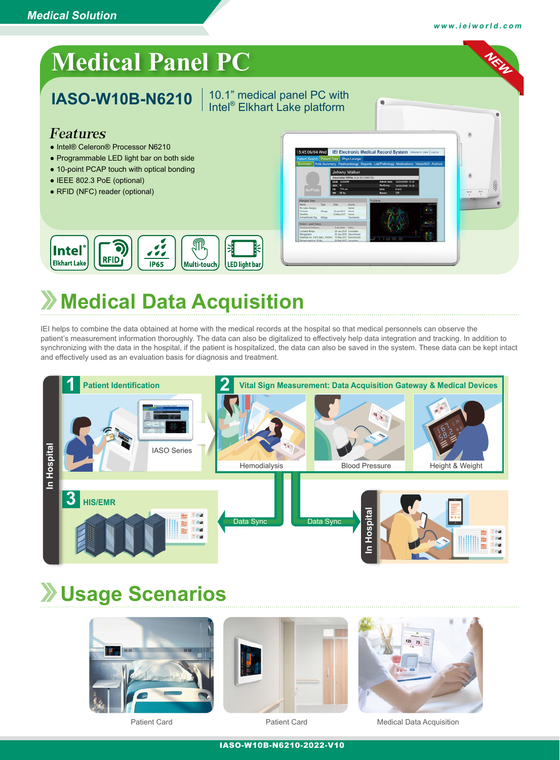# **Medical Panel PC**



## **Medical Data Acquisition**

IEI helps to combine the data obtained at home with the medical records at the hospital so that medical personnels can observe the patient's measurement information thoroughly. The data can also be digitalized to effectively help data integration and tracking. In addition to synchronizing with the data in the hospital, if the patient is hospitalized, the data can also be saved in the system. These data can be kept intact and effectively used as an evaluation basis for diagnosis and treatment.



### **Usage Scenarios**



Patient Card Patient Card Medical Data Acquisition

IASO-W10B-N6210-2022-V10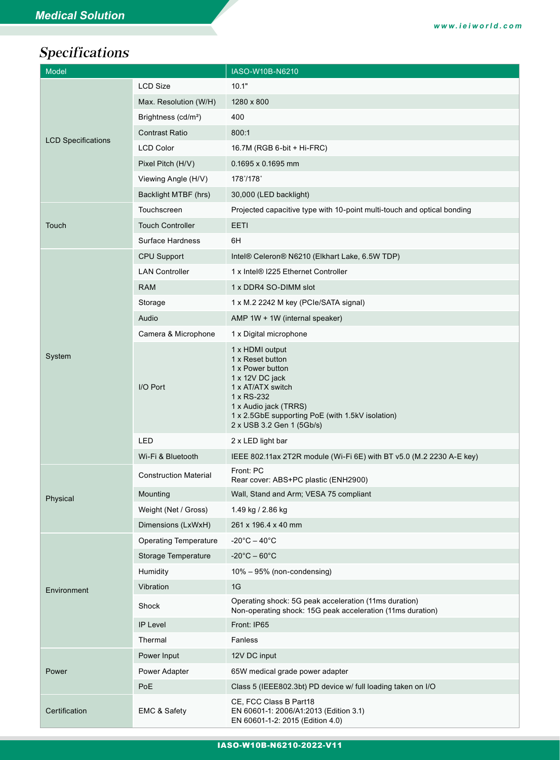### Specifications

| Model                     |                                 | IASO-W10B-N6210                                                                                                                                                                                                         |
|---------------------------|---------------------------------|-------------------------------------------------------------------------------------------------------------------------------------------------------------------------------------------------------------------------|
|                           | <b>LCD Size</b>                 | 10.1"                                                                                                                                                                                                                   |
| <b>LCD Specifications</b> | Max. Resolution (W/H)           | 1280 x 800                                                                                                                                                                                                              |
|                           | Brightness (cd/m <sup>2</sup> ) | 400                                                                                                                                                                                                                     |
|                           | <b>Contrast Ratio</b>           | 800:1                                                                                                                                                                                                                   |
|                           | <b>LCD Color</b>                | 16.7M (RGB 6-bit + Hi-FRC)                                                                                                                                                                                              |
|                           | Pixel Pitch (H/V)               | 0.1695 x 0.1695 mm                                                                                                                                                                                                      |
|                           | Viewing Angle (H/V)             | 178°/178°                                                                                                                                                                                                               |
|                           | Backlight MTBF (hrs)            | 30,000 (LED backlight)                                                                                                                                                                                                  |
|                           | Touchscreen                     | Projected capacitive type with 10-point multi-touch and optical bonding                                                                                                                                                 |
| Touch                     | <b>Touch Controller</b>         | EETI                                                                                                                                                                                                                    |
|                           | Surface Hardness                | 6H                                                                                                                                                                                                                      |
|                           | <b>CPU Support</b>              | Intel® Celeron® N6210 (Elkhart Lake, 6.5W TDP)                                                                                                                                                                          |
|                           | <b>LAN Controller</b>           | 1 x Intel® I225 Ethernet Controller                                                                                                                                                                                     |
|                           | <b>RAM</b>                      | 1 x DDR4 SO-DIMM slot                                                                                                                                                                                                   |
|                           | Storage                         | 1 x M.2 2242 M key (PCIe/SATA signal)                                                                                                                                                                                   |
|                           | Audio                           | AMP 1W + 1W (internal speaker)                                                                                                                                                                                          |
|                           | Camera & Microphone             | 1 x Digital microphone                                                                                                                                                                                                  |
| System                    | I/O Port                        | 1 x HDMI output<br>1 x Reset button<br>1 x Power button<br>1 x 12V DC jack<br>1 x AT/ATX switch<br>1 x RS-232<br>1 x Audio jack (TRRS)<br>1 x 2.5GbE supporting PoE (with 1.5kV isolation)<br>2 x USB 3.2 Gen 1 (5Gb/s) |
|                           | LED                             | 2 x LED light bar                                                                                                                                                                                                       |
|                           | Wi-Fi & Bluetooth               | IEEE 802.11ax 2T2R module (Wi-Fi 6E) with BT v5.0 (M.2 2230 A-E key)                                                                                                                                                    |
|                           | <b>Construction Material</b>    | Front: PC<br>Rear cover: ABS+PC plastic (ENH2900)                                                                                                                                                                       |
| Physical                  | Mounting                        | Wall, Stand and Arm; VESA 75 compliant                                                                                                                                                                                  |
|                           | Weight (Net / Gross)            | 1.49 kg / 2.86 kg                                                                                                                                                                                                       |
|                           | Dimensions (LxWxH)              | 261 x 196.4 x 40 mm                                                                                                                                                                                                     |
|                           | <b>Operating Temperature</b>    | $-20^{\circ}$ C $-40^{\circ}$ C                                                                                                                                                                                         |
|                           | Storage Temperature             | $-20^{\circ}$ C – 60 $^{\circ}$ C                                                                                                                                                                                       |
|                           | Humidity                        | 10% - 95% (non-condensing)                                                                                                                                                                                              |
| Environment               | Vibration                       | 1G                                                                                                                                                                                                                      |
|                           | Shock                           | Operating shock: 5G peak acceleration (11ms duration)<br>Non-operating shock: 15G peak acceleration (11ms duration)                                                                                                     |
|                           | IP Level                        | Front: IP65                                                                                                                                                                                                             |
|                           | Thermal                         | Fanless                                                                                                                                                                                                                 |
| Power                     | Power Input                     | 12V DC input                                                                                                                                                                                                            |
|                           | Power Adapter                   | 65W medical grade power adapter                                                                                                                                                                                         |
|                           | PoE                             | Class 5 (IEEE802.3bt) PD device w/ full loading taken on I/O                                                                                                                                                            |
| Certification             | <b>EMC &amp; Safety</b>         | CE, FCC Class B Part18<br>EN 60601-1: 2006/A1:2013 (Edition 3.1)<br>EN 60601-1-2: 2015 (Edition 4.0)                                                                                                                    |